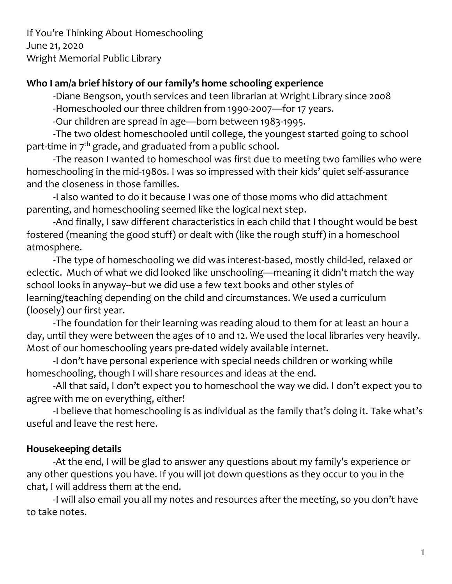If You're Thinking About Homeschooling June 21, 2020 Wright Memorial Public Library

#### **Who I am/a brief history of our family's home schooling experience**

-Diane Bengson, youth services and teen librarian at Wright Library since 2008 -Homeschooled our three children from 1990-2007—for 17 years.

-Our children are spread in age—born between 1983-1995.

-The two oldest homeschooled until college, the youngest started going to school part-time in  $7<sup>th</sup>$  grade, and graduated from a public school.

-The reason I wanted to homeschool was first due to meeting two families who were homeschooling in the mid-1980s. I was so impressed with their kids' quiet self-assurance and the closeness in those families.

-I also wanted to do it because I was one of those moms who did attachment parenting, and homeschooling seemed like the logical next step.

-And finally, I saw different characteristics in each child that I thought would be best fostered (meaning the good stuff) or dealt with (like the rough stuff) in a homeschool atmosphere.

-The type of homeschooling we did was interest-based, mostly child-led, relaxed or eclectic. Much of what we did looked like unschooling—meaning it didn't match the way school looks in anyway--but we did use a few text books and other styles of learning/teaching depending on the child and circumstances. We used a curriculum (loosely) our first year.

-The foundation for their learning was reading aloud to them for at least an hour a day, until they were between the ages of 10 and 12. We used the local libraries very heavily. Most of our homeschooling years pre-dated widely available internet.

-I don't have personal experience with special needs children or working while homeschooling, though I will share resources and ideas at the end.

-All that said, I don't expect you to homeschool the way we did. I don't expect you to agree with me on everything, either!

-I believe that homeschooling is as individual as the family that's doing it. Take what's useful and leave the rest here.

# **Housekeeping details**

-At the end, I will be glad to answer any questions about my family's experience or any other questions you have. If you will jot down questions as they occur to you in the chat, I will address them at the end.

-I will also email you all my notes and resources after the meeting, so you don't have to take notes.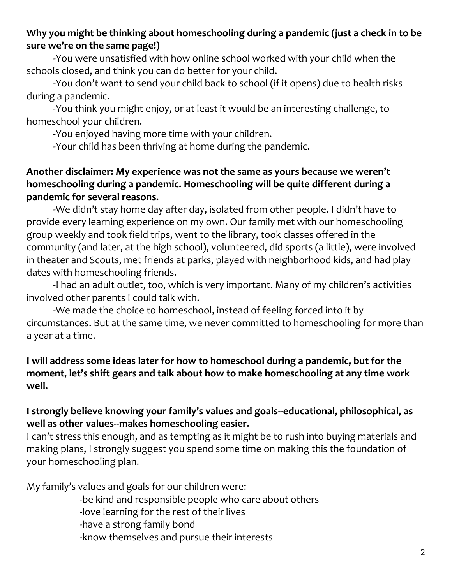# **Why you might be thinking about homeschooling during a pandemic (just a check in to be sure we're on the same page!)**

-You were unsatisfied with how online school worked with your child when the schools closed, and think you can do better for your child.

-You don't want to send your child back to school (if it opens) due to health risks during a pandemic.

-You think you might enjoy, or at least it would be an interesting challenge, to homeschool your children.

-You enjoyed having more time with your children.

-Your child has been thriving at home during the pandemic.

#### **Another disclaimer: My experience was not the same as yours because we weren't homeschooling during a pandemic. Homeschooling will be quite different during a pandemic for several reasons.**

-We didn't stay home day after day, isolated from other people. I didn't have to provide every learning experience on my own. Our family met with our homeschooling group weekly and took field trips, went to the library, took classes offered in the community (and later, at the high school), volunteered, did sports (a little), were involved in theater and Scouts, met friends at parks, played with neighborhood kids, and had play dates with homeschooling friends.

-I had an adult outlet, too, which is very important. Many of my children's activities involved other parents I could talk with.

-We made the choice to homeschool, instead of feeling forced into it by circumstances. But at the same time, we never committed to homeschooling for more than a year at a time.

#### **I will address some ideas later for how to homeschool during a pandemic, but for the moment, let's shift gears and talk about how to make homeschooling at any time work well.**

# **I strongly believe knowing your family's values and goals--educational, philosophical, as well as other values--makes homeschooling easier.**

I can't stress this enough, and as tempting as it might be to rush into buying materials and making plans, I strongly suggest you spend some time on making this the foundation of your homeschooling plan.

My family's values and goals for our children were:

-be kind and responsible people who care about others

-love learning for the rest of their lives

-have a strong family bond

-know themselves and pursue their interests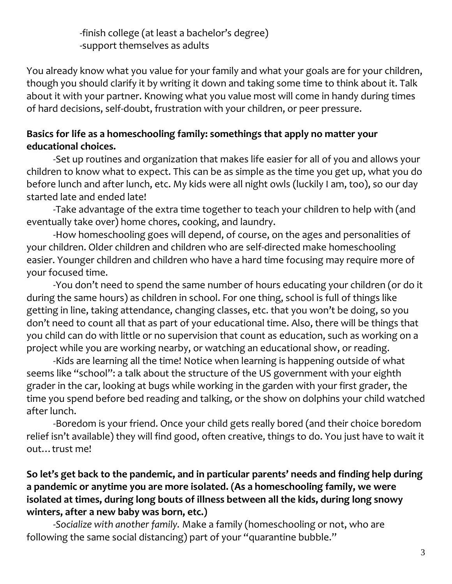-finish college (at least a bachelor's degree) -support themselves as adults

You already know what you value for your family and what your goals are for your children, though you should clarify it by writing it down and taking some time to think about it. Talk about it with your partner. Knowing what you value most will come in handy during times of hard decisions, self-doubt, frustration with your children, or peer pressure.

# **Basics for life as a homeschooling family: somethings that apply no matter your educational choices.**

-Set up routines and organization that makes life easier for all of you and allows your children to know what to expect. This can be as simple as the time you get up, what you do before lunch and after lunch, etc. My kids were all night owls (luckily I am, too), so our day started late and ended late!

-Take advantage of the extra time together to teach your children to help with (and eventually take over) home chores, cooking, and laundry.

-How homeschooling goes will depend, of course, on the ages and personalities of your children. Older children and children who are self-directed make homeschooling easier. Younger children and children who have a hard time focusing may require more of your focused time.

-You don't need to spend the same number of hours educating your children (or do it during the same hours) as children in school. For one thing, school is full of things like getting in line, taking attendance, changing classes, etc. that you won't be doing, so you don't need to count all that as part of your educational time. Also, there will be things that you child can do with little or no supervision that count as education, such as working on a project while you are working nearby, or watching an educational show, or reading.

-Kids are learning all the time! Notice when learning is happening outside of what seems like "school": a talk about the structure of the US government with your eighth grader in the car, looking at bugs while working in the garden with your first grader, the time you spend before bed reading and talking, or the show on dolphins your child watched after lunch.

-Boredom is your friend. Once your child gets really bored (and their choice boredom relief isn't available) they will find good, often creative, things to do. You just have to wait it out…trust me!

# **So let's get back to the pandemic, and in particular parents' needs and finding help during a pandemic or anytime you are more isolated. (As a homeschooling family, we were isolated at times, during long bouts of illness between all the kids, during long snowy winters, after a new baby was born, etc.)**

-*Socialize with another family.* Make a family (homeschooling or not, who are following the same social distancing) part of your "quarantine bubble."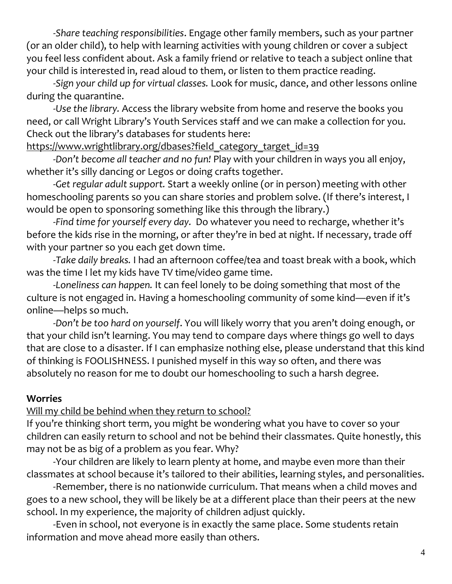*-Share teaching responsibilities*. Engage other family members, such as your partner (or an older child), to help with learning activities with young children or cover a subject you feel less confident about. Ask a family friend or relative to teach a subject online that your child is interested in, read aloud to them, or listen to them practice reading.

*-Sign your child up for virtual classes.* Look for music, dance, and other lessons online during the quarantine.

*-Use the library.* Access the library website from home and reserve the books you need, or call Wright Library's Youth Services staff and we can make a collection for you. Check out the library's databases for students here:

[https://www.wrightlibrary.org/dbases?field\\_category\\_target\\_id=39](https://www.wrightlibrary.org/dbases?field_category_target_id=39)

-*Don't become all teacher and no fun!* Play with your children in ways you all enjoy, whether it's silly dancing or Legos or doing crafts together.

-*Get regular adult support.* Start a weekly online (or in person) meeting with other homeschooling parents so you can share stories and problem solve. (If there's interest, I would be open to sponsoring something like this through the library.)

-*Find time for yourself every day.* Do whatever you need to recharge, whether it's before the kids rise in the morning, or after they're in bed at night. If necessary, trade off with your partner so you each get down time.

-*Take daily breaks.* I had an afternoon coffee/tea and toast break with a book, which was the time I let my kids have TV time/video game time.

-*Loneliness can happen.* It can feel lonely to be doing something that most of the culture is not engaged in. Having a homeschooling community of some kind—even if it's online—helps so much.

-*Don't be too hard on yourself*. You will likely worry that you aren't doing enough, or that your child isn't learning. You may tend to compare days where things go well to days that are close to a disaster. If I can emphasize nothing else, please understand that this kind of thinking is FOOLISHNESS. I punished myself in this way so often, and there was absolutely no reason for me to doubt our homeschooling to such a harsh degree.

# **Worries**

Will my child be behind when they return to school?

If you're thinking short term, you might be wondering what you have to cover so your children can easily return to school and not be behind their classmates. Quite honestly, this may not be as big of a problem as you fear. Why?

-Your children are likely to learn plenty at home, and maybe even more than their classmates at school because it's tailored to their abilities, learning styles, and personalities.

-Remember, there is no nationwide curriculum. That means when a child moves and goes to a new school, they will be likely be at a different place than their peers at the new school. In my experience, the majority of children adjust quickly.

-Even in school, not everyone is in exactly the same place. Some students retain information and move ahead more easily than others.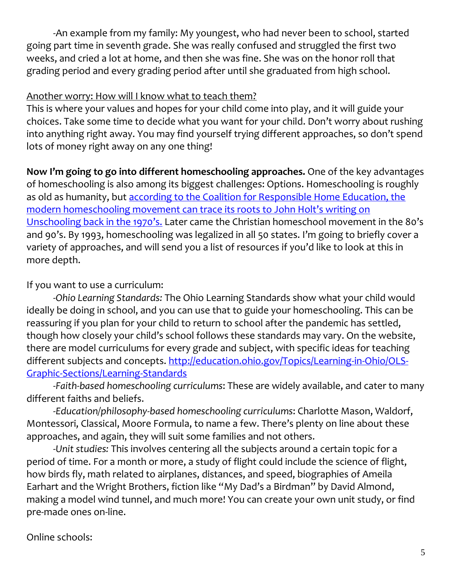-An example from my family: My youngest, who had never been to school, started going part time in seventh grade. She was really confused and struggled the first two weeks, and cried a lot at home, and then she was fine. She was on the honor roll that grading period and every grading period after until she graduated from high school.

#### Another worry: How will I know what to teach them?

This is where your values and hopes for your child come into play, and it will guide your choices. Take some time to decide what you want for your child. Don't worry about rushing into anything right away. You may find yourself trying different approaches, so don't spend lots of money right away on any one thing!

**Now I'm going to go into different homeschooling approaches.** One of the key advantages of homeschooling is also among its biggest challenges: Options. Homeschooling is roughly as old as humanity, but according to the Coalition for Responsible Home Education, the [modern homeschooling movement can trace its roots to John Holt's writing on](http://www.responsiblehomeschooling.org/homeschooling-101/a-brief-history-of-homeschooling/)  [Unschooling back in the 1970's.](http://www.responsiblehomeschooling.org/homeschooling-101/a-brief-history-of-homeschooling/) Later came the Christian homeschool movement in the 80's and 90's. By 1993, homeschooling was legalized in all 50 states. I'm going to briefly cover a variety of approaches, and will send you a list of resources if you'd like to look at this in more depth.

# If you want to use a curriculum:

-*Ohio Learning Standards:* The Ohio Learning Standards show what your child would ideally be doing in school, and you can use that to guide your homeschooling. This can be reassuring if you plan for your child to return to school after the pandemic has settled, though how closely your child's school follows these standards may vary. On the website, there are model curriculums for every grade and subject, with specific ideas for teaching different subjects and concepts. [http://education.ohio.gov/Topics/Learning-in-Ohio/OLS-](http://education.ohio.gov/Topics/Learning-in-Ohio/OLS-Graphic-Sections/Learning-Standards)[Graphic-Sections/Learning-Standards](http://education.ohio.gov/Topics/Learning-in-Ohio/OLS-Graphic-Sections/Learning-Standards)

-*Faith-based homeschooling curriculums*: These are widely available, and cater to many different faiths and beliefs.

-*Education/philosophy-based homeschooling curriculums*: Charlotte Mason, Waldorf, Montessori, Classical, Moore Formula, to name a few. There's plenty on line about these approaches, and again, they will suit some families and not others.

-*Unit studies:* This involves centering all the subjects around a certain topic for a period of time. For a month or more, a study of flight could include the science of flight, how birds fly, math related to airplanes, distances, and speed, biographies of Ameila Earhart and the Wright Brothers, fiction like "My Dad's a Birdman" by David Almond, making a model wind tunnel, and much more! You can create your own unit study, or find pre-made ones on-line.

# Online schools: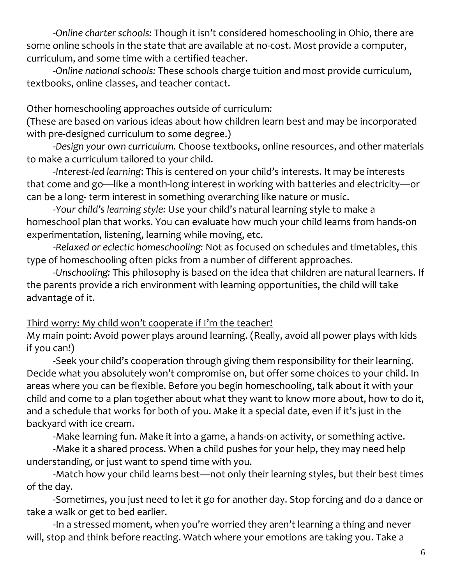-*Online charter schools:* Though it isn't considered homeschooling in Ohio, there are some online schools in the state that are available at no-cost. Most provide a computer, curriculum, and some time with a certified teacher.

-*Online national schools:* These schools charge tuition and most provide curriculum, textbooks, online classes, and teacher contact.

Other homeschooling approaches outside of curriculum:

(These are based on various ideas about how children learn best and may be incorporated with pre-designed curriculum to some degree.)

-*Design your own curriculum.* Choose textbooks, online resources, and other materials to make a curriculum tailored to your child.

-*Interest-led learning*: This is centered on your child's interests. It may be interests that come and go—like a month-long interest in working with batteries and electricity—or can be a long- term interest in something overarching like nature or music.

-*Your child's learning style:* Use your child's natural learning style to make a homeschool plan that works. You can evaluate how much your child learns from hands-on experimentation, listening, learning while moving, etc.

-*Relaxed or eclectic homeschooling:* Not as focused on schedules and timetables, this type of homeschooling often picks from a number of different approaches.

-*Unschooling:* This philosophy is based on the idea that children are natural learners. If the parents provide a rich environment with learning opportunities, the child will take advantage of it.

#### Third worry: My child won't cooperate if I'm the teacher!

My main point: Avoid power plays around learning. (Really, avoid all power plays with kids if you can!)

-Seek your child's cooperation through giving them responsibility for their learning. Decide what you absolutely won't compromise on, but offer some choices to your child. In areas where you can be flexible. Before you begin homeschooling, talk about it with your child and come to a plan together about what they want to know more about, how to do it, and a schedule that works for both of you. Make it a special date, even if it's just in the backyard with ice cream.

-Make learning fun. Make it into a game, a hands-on activity, or something active.

-Make it a shared process. When a child pushes for your help, they may need help understanding, or just want to spend time with you.

-Match how your child learns best—not only their learning styles, but their best times of the day.

-Sometimes, you just need to let it go for another day. Stop forcing and do a dance or take a walk or get to bed earlier.

-In a stressed moment, when you're worried they aren't learning a thing and never will, stop and think before reacting. Watch where your emotions are taking you. Take a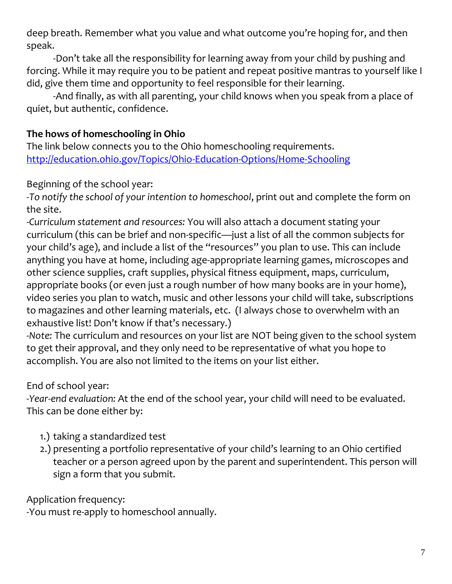deep breath. Remember what you value and what outcome you're hoping for, and then speak.

-Don't take all the responsibility for learning away from your child by pushing and forcing. While it may require you to be patient and repeat positive mantras to yourself like I did, give them time and opportunity to feel responsible for their learning.

-And finally, as with all parenting, your child knows when you speak from a place of quiet, but authentic, confidence.

# **The hows of homeschooling in Ohio**

The link below connects you to the Ohio homeschooling requirements. <http://education.ohio.gov/Topics/Ohio-Education-Options/Home-Schooling>

Beginning of the school year:

-*To notify the school of your intention to homeschool*, print out and complete the form on the site.

-*Curriculum statement and resources:* You will also attach a document stating your curriculum (this can be brief and non-specific—just a list of all the common subjects for your child's age), and include a list of the "resources" you plan to use. This can include anything you have at home, including age-appropriate learning games, microscopes and other science supplies, craft supplies, physical fitness equipment, maps, curriculum, appropriate books (or even just a rough number of how many books are in your home), video series you plan to watch, music and other lessons your child will take, subscriptions to magazines and other learning materials, etc. (I always chose to overwhelm with an exhaustive list! Don't know if that's necessary.)

-*Note:* The curriculum and resources on your list are NOT being given to the school system to get their approval, and they only need to be representative of what you hope to accomplish. You are also not limited to the items on your list either.

# End of school year:

-*Year-end evaluation:* At the end of the school year, your child will need to be evaluated. This can be done either by:

- 1.) taking a standardized test
- 2.) presenting a portfolio representative of your child's learning to an Ohio certified teacher or a person agreed upon by the parent and superintendent. This person will sign a form that you submit.

Application frequency:

-You must re-apply to homeschool annually.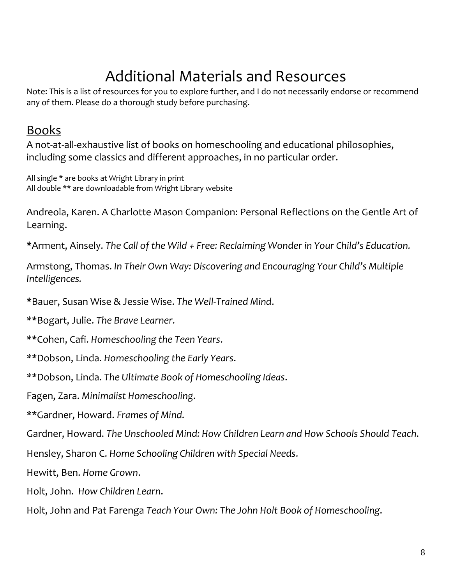# Additional Materials and Resources

Note: This is a list of resources for you to explore further, and I do not necessarily endorse or recommend any of them. Please do a thorough study before purchasing.

# Books

A not-at-all-exhaustive list of books on homeschooling and educational philosophies, including some classics and different approaches, in no particular order.

All single \* are books at Wright Library in print All double \*\* are downloadable from Wright Library website

Andreola, Karen. A Charlotte Mason Companion: Personal Reflections on the Gentle Art of Learning.

\*Arment, Ainsely. *The Call of the Wild + Free: Reclaiming Wonder in Your Child's Education.*

Armstong, Thomas. *In Their Own Way: Discovering and Encouraging Your Child's Multiple Intelligences.*

\*Bauer, Susan Wise & Jessie Wise. *The Well-Trained Mind*.

*\*\**Bogart, Julie. *The Brave Learner.*

*\*\**Cohen, Cafi. *Homeschooling the Teen Years*.

*\*\**Dobson, Linda. *Homeschooling the Early Years*.

*\*\**Dobson, Linda. *The Ultimate Book of Homeschooling Ideas*.

Fagen, Zara. *Minimalist Homeschooling*.

\*\*Gardner, Howard. *Frames of Mind.*

Gardner, Howard. *The Unschooled Mind: How Children Learn and How Schools Should Teach*.

Hensley, Sharon C. *Home Schooling Children with Special Needs*.

Hewitt, Ben. *Home Grown*.

Holt, John. *How Children Learn*.

Holt, John and Pat Farenga *Teach Your Own: The John Holt Book of Homeschooling*.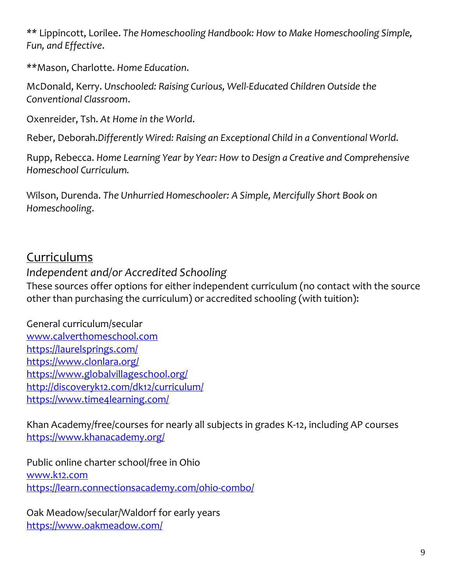*\*\** Lippincott, Lorilee. *The Homeschooling Handbook: How to Make Homeschooling Simple, Fun, and Effective*.

*\*\**Mason, Charlotte. *Home Education*.

McDonald, Kerry. *Unschooled: Raising Curious, Well-Educated Children Outside the Conventional Classroom*.

Oxenreider, Tsh. *At Home in the World*.

Reber, Deborah.*Differently Wired: Raising an Exceptional Child in a Conventional World.*

Rupp, Rebecca. *Home Learning Year by Year: How to Design a Creative and Comprehensive Homeschool Curriculum.*

Wilson, Durenda. *The Unhurried Homeschooler: A Simple, Mercifully Short Book on Homeschooling*.

# Curriculums

# *Independent and/or Accredited Schooling*

These sources offer options for either independent curriculum (no contact with the source other than purchasing the curriculum) or accredited schooling (with tuition):

General curriculum/secular [www.calverthomeschool.com](http://www.calverthomeschool.com/) <https://laurelsprings.com/> <https://www.clonlara.org/> <https://www.globalvillageschool.org/> <http://discoveryk12.com/dk12/curriculum/> <https://www.time4learning.com/>

Khan Academy/free/courses for nearly all subjects in grades K-12, including AP courses <https://www.khanacademy.org/>

Public online charter school/free in Ohio [www.k12.com](http://www.k12.com/) <https://learn.connectionsacademy.com/ohio-combo/>

Oak Meadow/secular/Waldorf for early years <https://www.oakmeadow.com/>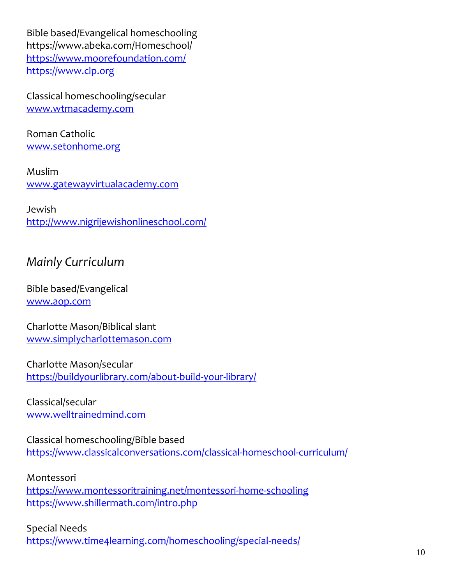Bible based/Evangelical homeschooling <https://www.abeka.com/Homeschool/> <https://www.moorefoundation.com/> https://www.clp.org

Classical homeschooling/secular [www.wtmacademy.com](http://www.wtmacademy.com/)

Roman Catholic [www.setonhome.org](http://www.setonhome.org/)

Muslim [www.gatewayvirtualacademy.com](http://www.gatewayvirtualacademy.com/)

Jewish <http://www.nigrijewishonlineschool.com/>

# *Mainly Curriculum*

Bible based/Evangelical [www.aop.com](http://www.aop.com/)

Charlotte Mason/Biblical slant [www.simplycharlottemason.com](http://www.simplycharlottemason.com/)

Charlotte Mason/secular <https://buildyourlibrary.com/about-build-your-library/>

Classical/secular [www.welltrainedmind.com](http://www.welltrainedmind.com/)

Classical homeschooling/Bible based <https://www.classicalconversations.com/classical-homeschool-curriculum/>

Montessori <https://www.montessoritraining.net/montessori-home-schooling> <https://www.shillermath.com/intro.php>

Special Needs <https://www.time4learning.com/homeschooling/special-needs/>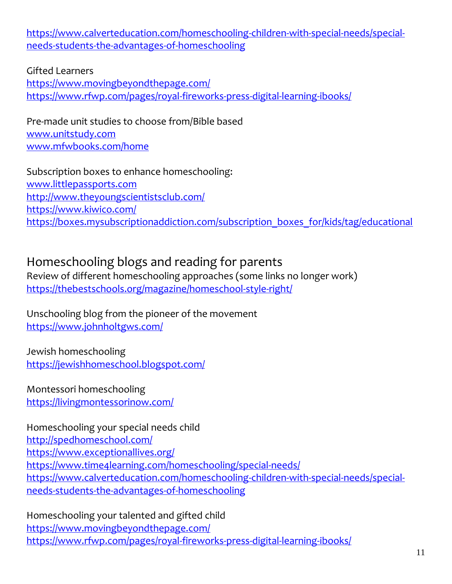[https://www.calverteducation.com/homeschooling-children-with-special-needs/special](https://www.calverteducation.com/homeschooling-children-with-special-needs/special-needs-students-the-advantages-of-homeschooling)[needs-students-the-advantages-of-homeschooling](https://www.calverteducation.com/homeschooling-children-with-special-needs/special-needs-students-the-advantages-of-homeschooling)

#### Gifted Learners

<https://www.movingbeyondthepage.com/> <https://www.rfwp.com/pages/royal-fireworks-press-digital-learning-ibooks/>

Pre-made unit studies to choose from/Bible based [www.unitstudy.com](http://www.unitstudy.com/) [www.mfwbooks.com/home](http://www.mfwbooks.com/home)

Subscription boxes to enhance homeschooling: [www.littlepassports.com](http://www.littlepassports.com/) <http://www.theyoungscientistsclub.com/> <https://www.kiwico.com/> [https://boxes.mysubscriptionaddiction.com/subscription\\_boxes\\_for/kids/tag/educational](https://boxes.mysubscriptionaddiction.com/subscription_boxes_for/kids/tag/educational)

# Homeschooling blogs and reading for parents

Review of different homeschooling approaches (some links no longer work) <https://thebestschools.org/magazine/homeschool-style-right/>

Unschooling blog from the pioneer of the movement <https://www.johnholtgws.com/>

Jewish homeschooling <https://jewishhomeschool.blogspot.com/>

Montessori homeschooling <https://livingmontessorinow.com/>

Homeschooling your special needs child <http://spedhomeschool.com/> <https://www.exceptionallives.org/> <https://www.time4learning.com/homeschooling/special-needs/> [https://www.calverteducation.com/homeschooling-children-with-special-needs/special](https://www.calverteducation.com/homeschooling-children-with-special-needs/special-needs-students-the-advantages-of-homeschooling)[needs-students-the-advantages-of-homeschooling](https://www.calverteducation.com/homeschooling-children-with-special-needs/special-needs-students-the-advantages-of-homeschooling)

Homeschooling your talented and gifted child <https://www.movingbeyondthepage.com/> <https://www.rfwp.com/pages/royal-fireworks-press-digital-learning-ibooks/>